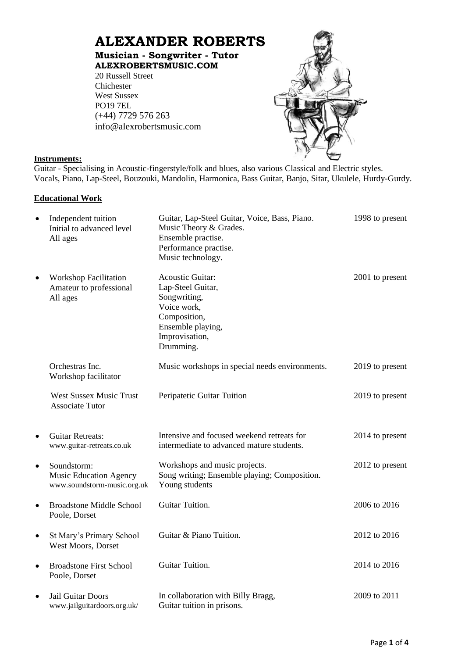# **ALEXANDER ROBERTS**

**Musician - Songwriter - Tutor [ALEXROBERTSMUSIC.COM](http://www.alexrobertsmusic.com/)**

20 Russell Street Chichester West Sussex PO19 7EL (+44) 7729 576 263 [info@alexrobertsmusic.com](mailto:info@alexrobertsmusic.com)



# **Instruments:**

Guitar - Specialising in Acoustic-fingerstyle/folk and blues, also various Classical and Electric styles. Vocals, Piano, Lap-Steel, Bouzouki, Mandolin, Harmonica, Bass Guitar, Banjo, Sitar, Ukulele, Hurdy-Gurdy.

# **Educational Work**

| $\bullet$ | Independent tuition<br>Initial to advanced level<br>All ages                | Guitar, Lap-Steel Guitar, Voice, Bass, Piano.<br>Music Theory & Grades.<br>Ensemble practise.<br>Performance practise.<br>Music technology.     | 1998 to present |
|-----------|-----------------------------------------------------------------------------|-------------------------------------------------------------------------------------------------------------------------------------------------|-----------------|
| $\bullet$ | <b>Workshop Facilitation</b><br>Amateur to professional<br>All ages         | <b>Acoustic Guitar:</b><br>Lap-Steel Guitar,<br>Songwriting,<br>Voice work,<br>Composition,<br>Ensemble playing,<br>Improvisation,<br>Drumming. | 2001 to present |
|           | Orchestras Inc.<br>Workshop facilitator                                     | Music workshops in special needs environments.                                                                                                  | 2019 to present |
|           | <b>West Sussex Music Trust</b><br><b>Associate Tutor</b>                    | Peripatetic Guitar Tuition                                                                                                                      | 2019 to present |
| $\bullet$ | <b>Guitar Retreats:</b><br>www.guitar-retreats.co.uk                        | Intensive and focused weekend retreats for<br>intermediate to advanced mature students.                                                         | 2014 to present |
| $\bullet$ | Soundstorm:<br><b>Music Education Agency</b><br>www.soundstorm-music.org.uk | Workshops and music projects.<br>Song writing; Ensemble playing; Composition.<br>Young students                                                 | 2012 to present |
| $\bullet$ | <b>Broadstone Middle School</b><br>Poole, Dorset                            | Guitar Tuition.                                                                                                                                 | 2006 to 2016    |
| $\bullet$ | St Mary's Primary School<br>West Moors, Dorset                              | Guitar & Piano Tuition.                                                                                                                         | 2012 to 2016    |
| $\bullet$ | <b>Broadstone First School</b><br>Poole, Dorset                             | Guitar Tuition.                                                                                                                                 | 2014 to 2016    |
| $\bullet$ | Jail Guitar Doors<br>www.jailguitardoors.org.uk/                            | In collaboration with Billy Bragg,<br>Guitar tuition in prisons.                                                                                | 2009 to 2011    |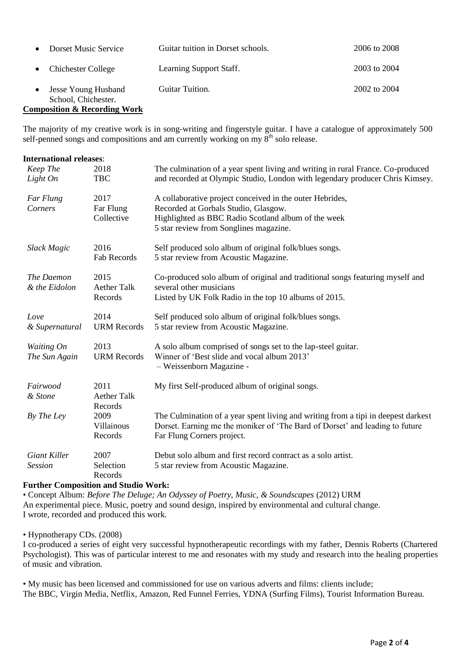| Dorset Music Service                              | Guitar tuition in Dorset schools. | 2006 to 2008 |
|---------------------------------------------------|-----------------------------------|--------------|
| <b>Chichester College</b>                         | Learning Support Staff.           | 2003 to 2004 |
| <b>Jesse Young Husband</b><br>School, Chichester. | Guitar Tuition.                   | 2002 to 2004 |

#### **Composition & Recording Work**

The majority of my creative work is in song-writing and fingerstyle guitar. I have a catalogue of approximately 500 self-penned songs and compositions and am currently working on my  $8<sup>th</sup>$  solo release.

| <b>International releases:</b>        |                                       |                                                                                                                                                                                                   |
|---------------------------------------|---------------------------------------|---------------------------------------------------------------------------------------------------------------------------------------------------------------------------------------------------|
| Keep The<br>Light On                  | 2018<br><b>TBC</b>                    | The culmination of a year spent living and writing in rural France. Co-produced<br>and recorded at Olympic Studio, London with legendary producer Chris Kimsey.                                   |
| Far Flung<br>Corners                  | 2017<br>Far Flung<br>Collective       | A collaborative project conceived in the outer Hebrides,<br>Recorded at Gorbals Studio, Glasgow.<br>Highlighted as BBC Radio Scotland album of the week<br>5 star review from Songlines magazine. |
| Slack Magic                           | 2016<br>Fab Records                   | Self produced solo album of original folk/blues songs.<br>5 star review from Acoustic Magazine.                                                                                                   |
| The Daemon<br>& the Eidolon           | 2015<br><b>Aether Talk</b><br>Records | Co-produced solo album of original and traditional songs featuring myself and<br>several other musicians<br>Listed by UK Folk Radio in the top 10 albums of 2015.                                 |
| Love<br>& Supernatural                | 2014<br><b>URM Records</b>            | Self produced solo album of original folk/blues songs.<br>5 star review from Acoustic Magazine.                                                                                                   |
| Waiting On<br>The Sun Again           | 2013<br><b>URM Records</b>            | A solo album comprised of songs set to the lap-steel guitar.<br>Winner of 'Best slide and vocal album 2013'<br>- Weissenborn Magazine -                                                           |
| Fairwood<br>& Stone                   | 2011<br><b>Aether Talk</b><br>Records | My first Self-produced album of original songs.                                                                                                                                                   |
| By The Ley                            | 2009<br>Villainous<br>Records         | The Culmination of a year spent living and writing from a tipi in deepest darkest<br>Dorset. Earning me the moniker of 'The Bard of Dorset' and leading to future<br>Far Flung Corners project.   |
| <b>Giant Killer</b><br><b>Session</b> | 2007<br>Selection<br>Records          | Debut solo album and first record contract as a solo artist.<br>5 star review from Acoustic Magazine.                                                                                             |

# **Further Composition and Studio Work:**

• Concept Album: *Before The Deluge; An Odyssey of Poetry, Music, & Soundscapes* (2012) URM An experimental piece. Music, poetry and sound design, inspired by environmental and cultural change. I wrote, recorded and produced this work.

• Hypnotherapy CDs. (2008)

I co-produced a series of eight very successful hypnotherapeutic recordings with my father, Dennis Roberts (Chartered Psychologist). This was of particular interest to me and resonates with my study and research into the healing properties of music and vibration.

• My music has been licensed and commissioned for use on various adverts and films: clients include; The BBC, Virgin Media, Netflix, Amazon, Red Funnel Ferries, YDNA (Surfing Films), Tourist Information Bureau.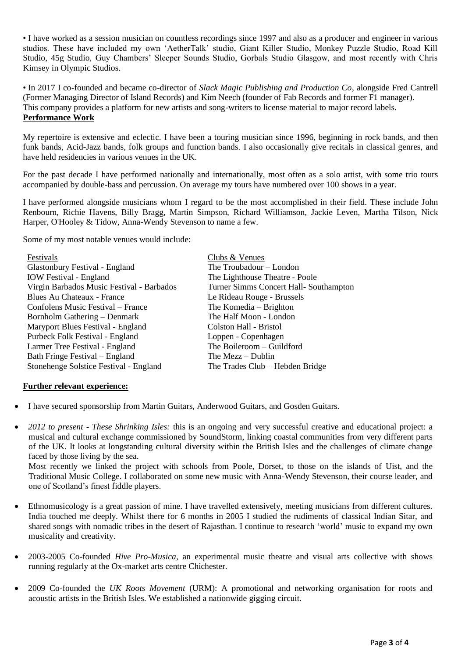• I have worked as a session musician on countless recordings since 1997 and also as a producer and engineer in various studios. These have included my own 'AetherTalk' studio, Giant Killer Studio, Monkey Puzzle Studio, Road Kill Studio, 45g Studio, Guy Chambers' Sleeper Sounds Studio, Gorbals Studio Glasgow, and most recently with Chris Kimsey in Olympic Studios.

• In 2017 I co-founded and became co-director of *Slack Magic Publishing and Production Co*, alongside Fred Cantrell (Former Managing Director of Island Records) and Kim Neech (founder of Fab Records and former F1 manager). This company provides a platform for new artists and song-writers to license material to major record labels. **Performance Work**

My repertoire is extensive and eclectic. I have been a touring musician since 1996, beginning in rock bands, and then funk bands, Acid-Jazz bands, folk groups and function bands. I also occasionally give recitals in classical genres, and have held residencies in various venues in the UK.

For the past decade I have performed nationally and internationally, most often as a solo artist, with some trio tours accompanied by double-bass and percussion. On average my tours have numbered over 100 shows in a year.

I have performed alongside musicians whom I regard to be the most accomplished in their field. These include John Renbourn, Richie Havens, Billy Bragg, Martin Simpson, Richard Williamson, Jackie Leven, Martha Tilson, Nick Harper, O'Hooley & Tidow, Anna-Wendy Stevenson to name a few.

Some of my most notable venues would include:

| Festivals                                 | Clubs & Venues                         |
|-------------------------------------------|----------------------------------------|
| Glastonbury Festival - England            | The Troubadour - London                |
| <b>IOW</b> Festival - England             | The Lighthouse Theatre - Poole         |
| Virgin Barbados Music Festival - Barbados | Turner Simms Concert Hall- Southampton |
| Blues Au Chateaux - France                | Le Rideau Rouge - Brussels             |
| Confolens Music Festival – France         | The Komedia – Brighton                 |
| Bornholm Gathering – Denmark              | The Half Moon - London                 |
| Maryport Blues Festival - England         | Colston Hall - Bristol                 |
| Purbeck Folk Festival - England           | Loppen - Copenhagen                    |
| Larmer Tree Festival - England            | The Boileroom – Guildford              |
| Bath Fringe Festival – England            | The Mezz $-$ Dublin                    |
| Stonehenge Solstice Festival - England    | The Trades Club – Hebden Bridge        |

## **Further relevant experience:**

- I have secured sponsorship from Martin Guitars, Anderwood Guitars, and Gosden Guitars.
- *2012 to present - These Shrinking Isles:* this is an ongoing and very successful creative and educational project: a musical and cultural exchange commissioned by SoundStorm, linking coastal communities from very different parts of the UK. It looks at longstanding cultural diversity within the British Isles and the challenges of climate change faced by those living by the sea.

Most recently we linked the project with schools from Poole, Dorset, to those on the islands of Uist, and the Traditional Music College. I collaborated on some new music with Anna-Wendy Stevenson, their course leader, and one of Scotland's finest fiddle players.

- Ethnomusicology is a great passion of mine. I have travelled extensively, meeting musicians from different cultures. India touched me deeply. Whilst there for 6 months in 2005 I studied the rudiments of classical Indian Sitar, and shared songs with nomadic tribes in the desert of Rajasthan. I continue to research 'world' music to expand my own musicality and creativity.
- 2003-2005 Co-founded *Hive Pro-Musica*, an experimental music theatre and visual arts collective with shows running regularly at the Ox-market arts centre Chichester.
- 2009 Co-founded the *UK Roots Movement* (URM): A promotional and networking organisation for roots and acoustic artists in the British Isles. We established a nationwide gigging circuit.